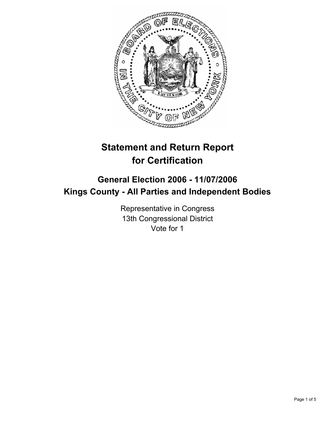

# **Statement and Return Report for Certification**

## **General Election 2006 - 11/07/2006 Kings County - All Parties and Independent Bodies**

Representative in Congress 13th Congressional District Vote for 1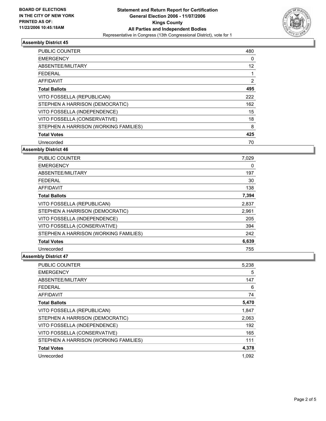

#### **Assembly District 45**

| <b>PUBLIC COUNTER</b>                 | 480               |  |
|---------------------------------------|-------------------|--|
| <b>EMERGENCY</b>                      | 0                 |  |
| ABSENTEE/MILITARY                     | $12 \overline{ }$ |  |
| FEDERAL                               |                   |  |
| AFFIDAVIT                             | 2                 |  |
| <b>Total Ballots</b>                  | 495               |  |
| VITO FOSSELLA (REPUBLICAN)            | 222               |  |
| STEPHEN A HARRISON (DEMOCRATIC)       | 162               |  |
| VITO FOSSELLA (INDEPENDENCE)          | 15                |  |
| VITO FOSSELLA (CONSERVATIVE)          | 18                |  |
| STEPHEN A HARRISON (WORKING FAMILIES) | 8                 |  |
| <b>Total Votes</b>                    | 425               |  |
| Unrecorded                            | 70                |  |

#### **Assembly District 46**

| <b>PUBLIC COUNTER</b>                 | 7,029 |  |
|---------------------------------------|-------|--|
| <b>EMERGENCY</b>                      | 0     |  |
| ABSENTEE/MILITARY                     | 197   |  |
| <b>FEDERAL</b>                        | 30    |  |
| <b>AFFIDAVIT</b>                      | 138   |  |
| <b>Total Ballots</b>                  | 7,394 |  |
| VITO FOSSELLA (REPUBLICAN)            | 2,837 |  |
| STEPHEN A HARRISON (DEMOCRATIC)       | 2,961 |  |
| VITO FOSSELLA (INDEPENDENCE)          | 205   |  |
| VITO FOSSELLA (CONSERVATIVE)          | 394   |  |
| STEPHEN A HARRISON (WORKING FAMILIES) | 242   |  |
| <b>Total Votes</b>                    | 6,639 |  |
| Unrecorded                            | 755   |  |

#### **Assembly District 47**

| <b>PUBLIC COUNTER</b>                 | 5,238 |
|---------------------------------------|-------|
| <b>EMERGENCY</b>                      | 5     |
| ABSENTEE/MILITARY                     | 147   |
| <b>FEDERAL</b>                        | 6     |
| <b>AFFIDAVIT</b>                      | 74    |
| <b>Total Ballots</b>                  | 5,470 |
| VITO FOSSELLA (REPUBLICAN)            | 1,847 |
| STEPHEN A HARRISON (DEMOCRATIC)       | 2,063 |
| VITO FOSSELLA (INDEPENDENCE)          | 192   |
| VITO FOSSELLA (CONSERVATIVE)          | 165   |
| STEPHEN A HARRISON (WORKING FAMILIES) | 111   |
| <b>Total Votes</b>                    | 4,378 |
| Unrecorded                            | 1.092 |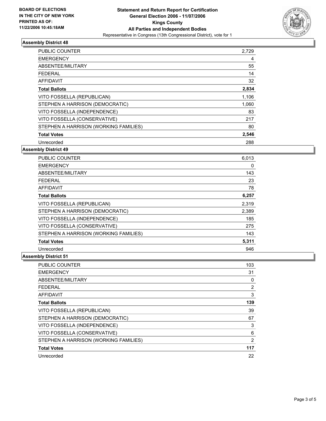

### **Assembly District 48**

| PUBLIC COUNTER                        | 2,729 |  |
|---------------------------------------|-------|--|
| <b>EMERGENCY</b>                      | 4     |  |
| ABSENTEE/MILITARY                     | 55    |  |
| <b>FEDERAL</b>                        | 14    |  |
| AFFIDAVIT                             | 32    |  |
| <b>Total Ballots</b>                  | 2,834 |  |
| VITO FOSSELLA (REPUBLICAN)            | 1,106 |  |
| STEPHEN A HARRISON (DEMOCRATIC)       | 1,060 |  |
| VITO FOSSELLA (INDEPENDENCE)          | 83    |  |
| VITO FOSSELLA (CONSERVATIVE)          | 217   |  |
| STEPHEN A HARRISON (WORKING FAMILIES) | 80    |  |
| <b>Total Votes</b>                    | 2,546 |  |
| Unrecorded                            | 288   |  |

#### **Assembly District 49**

| <b>PUBLIC COUNTER</b>                 | 6,013 |
|---------------------------------------|-------|
| <b>EMERGENCY</b>                      | 0     |
| ABSENTEE/MILITARY                     | 143   |
| <b>FEDERAL</b>                        | 23    |
| <b>AFFIDAVIT</b>                      | 78    |
| <b>Total Ballots</b>                  | 6,257 |
| VITO FOSSELLA (REPUBLICAN)            | 2,319 |
| STEPHEN A HARRISON (DEMOCRATIC)       | 2,389 |
| VITO FOSSELLA (INDEPENDENCE)          | 185   |
| VITO FOSSELLA (CONSERVATIVE)          | 275   |
| STEPHEN A HARRISON (WORKING FAMILIES) | 143   |
| <b>Total Votes</b>                    | 5,311 |
| Unrecorded                            | 946   |

#### **Assembly District 51**

| <b>PUBLIC COUNTER</b>                 | 103 |  |
|---------------------------------------|-----|--|
| <b>EMERGENCY</b>                      | 31  |  |
| ABSENTEE/MILITARY                     | 0   |  |
| <b>FEDERAL</b>                        | 2   |  |
| <b>AFFIDAVIT</b>                      | 3   |  |
| <b>Total Ballots</b>                  | 139 |  |
| VITO FOSSELLA (REPUBLICAN)            | 39  |  |
| STEPHEN A HARRISON (DEMOCRATIC)       | 67  |  |
| VITO FOSSELLA (INDEPENDENCE)          | 3   |  |
| VITO FOSSELLA (CONSERVATIVE)          | 6   |  |
| STEPHEN A HARRISON (WORKING FAMILIES) | 2   |  |
| <b>Total Votes</b>                    | 117 |  |
| Unrecorded                            | 22  |  |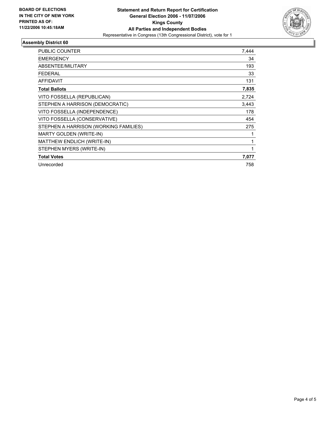

#### **Assembly District 60**

| PUBLIC COUNTER                        | 7,444 |
|---------------------------------------|-------|
| <b>EMERGENCY</b>                      | 34    |
| ABSENTEE/MILITARY                     | 193   |
| <b>FEDERAL</b>                        | 33    |
| <b>AFFIDAVIT</b>                      | 131   |
| <b>Total Ballots</b>                  | 7,835 |
| VITO FOSSELLA (REPUBLICAN)            | 2,724 |
| STEPHEN A HARRISON (DEMOCRATIC)       | 3,443 |
| VITO FOSSELLA (INDEPENDENCE)          | 178   |
| VITO FOSSELLA (CONSERVATIVE)          | 454   |
| STEPHEN A HARRISON (WORKING FAMILIES) | 275   |
| <b>MARTY GOLDEN (WRITE-IN)</b>        |       |
| MATTHEW ENDLICH (WRITE-IN)            |       |
| STEPHEN MYERS (WRITE-IN)              |       |
| <b>Total Votes</b>                    | 7,077 |
| Unrecorded                            | 758   |